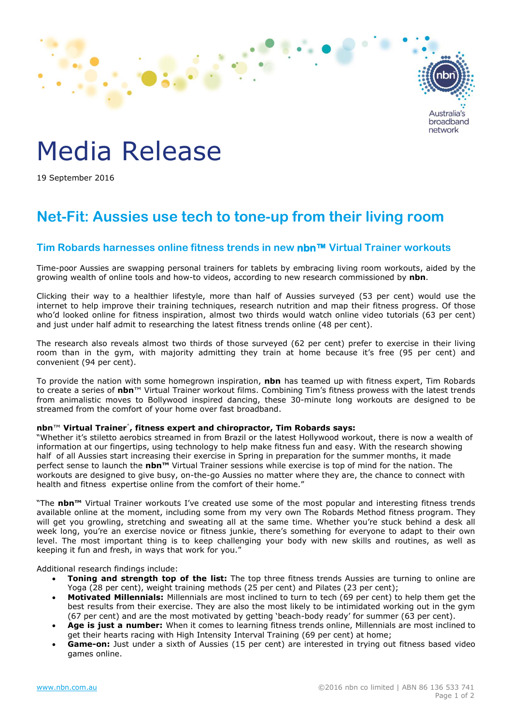

# Media Release

19 September 2016

## **Net-Fit: Aussies use tech to tone-up from their living room**

### **Tim Robards harnesses online fitness trends in new nbn™ Virtual Trainer workouts**

Time-poor Aussies are swapping personal trainers for tablets by embracing living room workouts, aided by the growing wealth of online tools and how-to videos, according to new research commissioned by **nbn**.

Clicking their way to a healthier lifestyle, more than half of Aussies surveyed (53 per cent) would use the internet to help improve their training techniques, research nutrition and map their fitness progress. Of those who'd looked online for fitness inspiration, almost two thirds would watch online video tutorials (63 per cent) and just under half admit to researching the latest fitness trends online (48 per cent).

The research also reveals almost two thirds of those surveyed (62 per cent) prefer to exercise in their living room than in the gym, with majority admitting they train at home because it's free (95 per cent) and convenient (94 per cent).

To provide the nation with some homegrown inspiration, **nbn** has teamed up with fitness expert, Tim Robards to create a series of **nbn**™ Virtual Trainer workout films. Combining Tim's fitness prowess with the latest trends from animalistic moves to Bollywood inspired dancing, these 30-minute long workouts are designed to be streamed from the comfort of your home over fast broadband.

#### **nbn**™ **Virtual Trainer^ , fitness expert and chiropractor, Tim Robards says:**

"Whether it's stiletto aerobics streamed in from Brazil or the latest Hollywood workout, there is now a wealth of information at our fingertips, using technology to help make fitness fun and easy. With the research showing half of all Aussies start increasing their exercise in Spring in preparation for the summer months, it made perfect sense to launch the **nbn™** Virtual Trainer sessions while exercise is top of mind for the nation. The workouts are designed to give busy, on-the-go Aussies no matter where they are, the chance to connect with health and fitness expertise online from the comfort of their home."

"The **nbn™** Virtual Trainer workouts I've created use some of the most popular and interesting fitness trends available online at the moment, including some from my very own The Robards Method fitness program. They will get you growling, stretching and sweating all at the same time. Whether you're stuck behind a desk all week long, you're an exercise novice or fitness junkie, there's something for everyone to adapt to their own level. The most important thing is to keep challenging your body with new skills and routines, as well as keeping it fun and fresh, in ways that work for you."

Additional research findings include:

- **Toning and strength top of the list:** The top three fitness trends Aussies are turning to online are Yoga (28 per cent), weight training methods (25 per cent) and Pilates (23 per cent);
- **Motivated Millennials:** Millennials are most inclined to turn to tech (69 per cent) to help them get the best results from their exercise. They are also the most likely to be intimidated working out in the gym (67 per cent) and are the most motivated by getting 'beach-body ready' for summer (63 per cent).
- **Age is just a number:** When it comes to learning fitness trends online, Millennials are most inclined to get their hearts racing with High Intensity Interval Training (69 per cent) at home;
- **Game-on:** Just under a sixth of Aussies (15 per cent) are interested in trying out fitness based video games online.